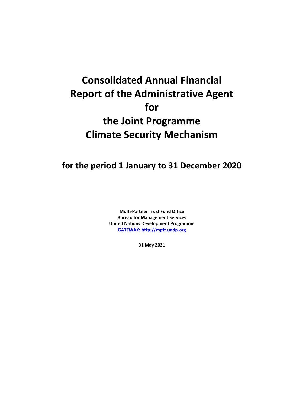# **Consolidated Annual Financial Report of the Administrative Agent for the Joint Programme Climate Security Mechanism**

**for the period 1 January to 31 December 2020**

**Multi-Partner Trust Fund Office Bureau for Management Services United Nations Development Programme [GATEWAY: http://mptf.undp.org](http://mptf.undp.org/)**

**31 May 2021**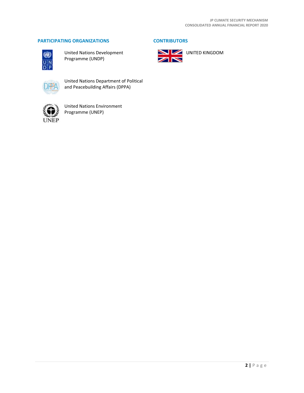# **PARTICIPATING ORGANIZATIONS CONTRIBUTORS**



United Nations Development Programme (UNDP)



United Nations Department of Political and Peacebuilding Affairs (DPPA)



United Nations Environment Programme (UNEP)



**N** UNITED KINGDOM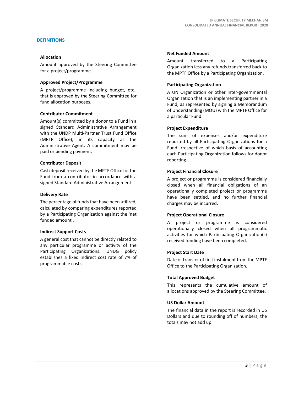# **DEFINITIONS**

# **Allocation**

Amount approved by the Steering Committee for a project/programme.

## **Approved Project/Programme**

A project/programme including budget, etc., that is approved by the Steering Committee for fund allocation purposes.

## **Contributor Commitment**

Amount(s) committed by a donor to a Fund in a signed Standard Administrative Arrangement with the UNDP Multi-Partner Trust Fund Office (MPTF Office), in its capacity as the Administrative Agent. A commitment may be paid or pending payment.

## **Contributor Deposit**

Cash deposit received by the MPTF Office for the Fund from a contributor in accordance with a signed Standard Administrative Arrangement.

#### **Delivery Rate**

The percentage of funds that have been utilized, calculated by comparing expenditures reported by a Participating Organization against the 'net funded amount'.

#### **Indirect Support Costs**

A general cost that cannot be directly related to any particular programme or activity of the Participating Organizations. UNDG policy establishes a fixed indirect cost rate of 7% of programmable costs.

#### **Net Funded Amount**

Amount transferred to a Participating Organization less any refunds transferred back to the MPTF Office by a Participating Organization.

## **Participating Organization**

A UN Organization or other inter-governmental Organization that is an implementing partner in a Fund, as represented by signing a Memorandum of Understanding (MOU) with the MPTF Office for a particular Fund.

## **Project Expenditure**

The sum of expenses and/or expenditure reported by all Participating Organizations for a Fund irrespective of which basis of accounting each Participating Organization follows for donor reporting.

## **Project Financial Closure**

A project or programme is considered financially closed when all financial obligations of an operationally completed project or programme have been settled, and no further financial charges may be incurred.

#### **Project Operational Closure**

A project or programme is considered operationally closed when all programmatic activities for which Participating Organization(s) received funding have been completed.

#### **Project Start Date**

Date of transfer of first instalment from the MPTF Office to the Participating Organization.

## **Total Approved Budget**

This represents the cumulative amount of allocations approved by the Steering Committee.

# **US Dollar Amount**

The financial data in the report is recorded in US Dollars and due to rounding off of numbers, the totals may not add up.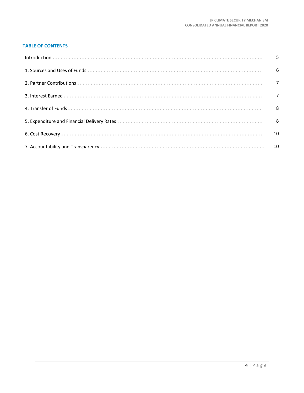# **TABLE OF CONTENTS**

| 10 |
|----|
|    |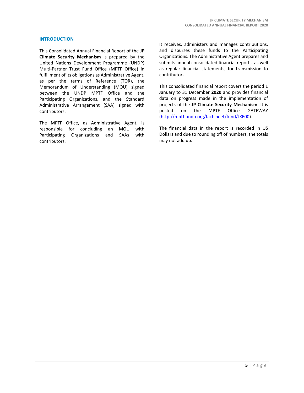# **INTRODUCTION**

This Consolidated Annual Financial Report of the **JP Climate Security Mechanism** is prepared by the United Nations Development Programme (UNDP) Multi-Partner Trust Fund Office (MPTF Office) in fulfillment of its obligations as Administrative Agent, as per the terms of Reference (TOR), the Memorandum of Understanding (MOU) signed between the UNDP MPTF Office and the Participating Organizations, and the Standard Administrative Arrangement (SAA) signed with contributors.

The MPTF Office, as Administrative Agent, is responsible for concluding an MOU with Participating Organizations and SAAs with contributors.

It receives, administers and manages contributions, and disburses these funds to the Participating Organizations. The Administrative Agent prepares and submits annual consolidated financial reports, as well as regular financial statements, for transmission to contributors.

This consolidated financial report covers the period 1 January to 31 December **2020** and provides financial data on progress made in the implementation of projects of the **JP Climate Security Mechanism**. It is posted on the MPTF Office GATEWAY [\(http://mptf.undp.org/factsheet/fund/JXE00\)](http://mptf.undp.org/factsheet/fund/JXE00).

The financial data in the report is recorded in US Dollars and due to rounding off of numbers, the totals may not add up.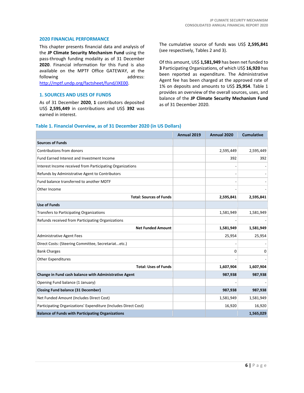# **2020 FINANCIAL PERFORMANCE**

This chapter presents financial data and analysis of the **JP Climate Security Mechanism Fund** using the pass-through funding modality as of 31 December **2020**. Financial information for this Fund is also available on the MPTF Office GATEWAY, at the following address: [http://mptf.undp.org/factsheet/fund/JXE00.](http://mptf.undp.org/factsheet/fund/JXE00)

#### **1. SOURCES AND USES OF FUNDS**

As of 31 December **2020**, **1** contributors deposited US\$ **2,595,449** in contributions and US\$ **392** was earned in interest.

The cumulative source of funds was US\$ **2,595,841** (see respectively, Tables 2 and 3).

Of this amount, US\$ **1,581,949** has been net funded to **3** Participating Organizations, of which US\$ **16,920** has been reported as expenditure. The Administrative Agent fee has been charged at the approved rate of 1% on deposits and amounts to US\$ **25,954**. Table 1 provides an overview of the overall sources, uses, and balance of the **JP Climate Security Mechanism Fund** as of 31 December 2020.

## **Table 1. Financial Overview, as of 31 December 2020 (in US Dollars)**

|                                                                 | Annual 2019 | Annual 2020 | <b>Cumulative</b> |
|-----------------------------------------------------------------|-------------|-------------|-------------------|
| <b>Sources of Funds</b>                                         |             |             |                   |
| Contributions from donors                                       |             | 2,595,449   | 2,595,449         |
| Fund Earned Interest and Investment Income                      |             | 392         | 392               |
| Interest Income received from Participating Organizations       |             |             |                   |
| Refunds by Administrative Agent to Contributors                 |             |             |                   |
| Fund balance transferred to another MDTF                        |             |             |                   |
| Other Income                                                    |             |             |                   |
| <b>Total: Sources of Funds</b>                                  |             | 2,595,841   | 2,595,841         |
| <b>Use of Funds</b>                                             |             |             |                   |
| <b>Transfers to Participating Organizations</b>                 |             | 1,581,949   | 1,581,949         |
| Refunds received from Participating Organizations               |             |             |                   |
| <b>Net Funded Amount</b>                                        |             | 1,581,949   | 1,581,949         |
| <b>Administrative Agent Fees</b>                                |             | 25,954      | 25,954            |
| Direct Costs: (Steering Committee, Secretariatetc.)             |             |             |                   |
| <b>Bank Charges</b>                                             |             | 0           | 0                 |
| <b>Other Expenditures</b>                                       |             |             |                   |
| <b>Total: Uses of Funds</b>                                     |             | 1,607,904   | 1,607,904         |
| Change in Fund cash balance with Administrative Agent           |             | 987,938     | 987,938           |
| Opening Fund balance (1 January)                                |             |             |                   |
| <b>Closing Fund balance (31 December)</b>                       |             | 987,938     | 987,938           |
| Net Funded Amount (Includes Direct Cost)                        |             | 1,581,949   | 1,581,949         |
| Participating Organizations' Expenditure (Includes Direct Cost) |             | 16,920      | 16,920            |
| <b>Balance of Funds with Participating Organizations</b>        |             |             | 1,565,029         |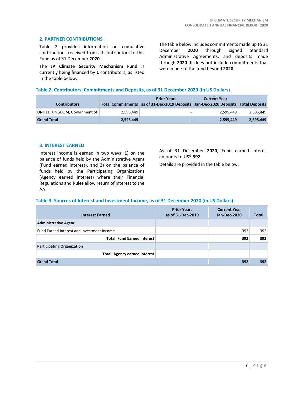# **2. PARTNER CONTRIBUTIONS**

Table 2 provides information on cumulative contributions received from all contributors to this Fund as of 31 December **2020**.

The **JP Climate Security Mechanism Fund** is currently being financed by **1** contributors, as listed in the table below.

The table below includes commitments made up to 31 December **2020** through signed Standard Administrative Agreements, and deposits made through **2020**. It does not include commitments that were made to the fund beyond **2020**.

# **Table 2. Contributors' Commitments and Deposits, as of 31 December 2020 (in US Dollars)**

| <b>Contributors</b>           |           | <b>Prior Years</b><br>Total Commitments as of 31-Dec-2019 Deposits Jan-Dec-2020 Deposits Total Deposits | <b>Current Year</b> |           |
|-------------------------------|-----------|---------------------------------------------------------------------------------------------------------|---------------------|-----------|
| UNITED KINGDOM, Government of | 2.595.449 |                                                                                                         | 2.595.449           | 2,595,449 |
| <b>Grand Total</b>            | 2,595,449 |                                                                                                         | 2.595.449           | 2,595,449 |

# **3. INTEREST EARNED**

Interest income is earned in two ways: 1) on the balance of funds held by the Administrative Agent (Fund earned interest), and 2) on the balance of funds held by the Participating Organizations (Agency earned interest) where their Financial Regulations and Rules allow return of interest to the AA.

As of 31 December **2020**, Fund earned interest amounts to US\$ **392**.

Details are provided in the table below.

# **Table 3. Sources of Interest and Investment Income, as of 31 December 2020 (in US Dollars)**

| <b>Interest Earned</b>                     | <b>Prior Years</b><br>as of 31-Dec-2019 | <b>Current Year</b><br>Jan-Dec-2020 | Total |
|--------------------------------------------|-----------------------------------------|-------------------------------------|-------|
| <b>Administrative Agent</b>                |                                         |                                     |       |
| Fund Earned Interest and Investment Income |                                         | 392                                 | 392   |
| <b>Total: Fund Earned Interest</b>         |                                         | 392                                 | 392   |
| <b>Participating Organization</b>          |                                         |                                     |       |
| <b>Total: Agency earned interest</b>       |                                         |                                     |       |
| <b>Grand Total</b>                         |                                         | 392                                 | 392   |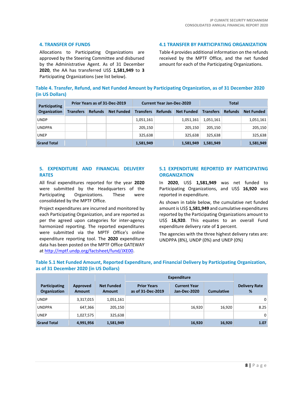# **4. TRANSFER OF FUNDS**

Allocations to Participating Organizations are approved by the Steering Committee and disbursed by the Administrative Agent. As of 31 December **2020**, the AA has transferred US\$ **1,581,949** to **3** Participating Organizations (see list below).

**4.1 TRANSFER BY PARTICIPATING ORGANIZATION**

Table 4 provides additional information on the refunds received by the MPTF Office, and the net funded amount for each of the Participating Organizations.

|                 | Table 4. Transfer, Refund, and Net Funded Amount by Participating Organization, as of 31 December 2020 |  |  |
|-----------------|--------------------------------------------------------------------------------------------------------|--|--|
| (in US Dollars) |                                                                                                        |  |  |

| Prior Years as of 31-Dec-2019<br><b>Participating</b> |                  |                | <b>Current Year Jan-Dec-2020</b> |                  |                | Total             |                  |                |                   |
|-------------------------------------------------------|------------------|----------------|----------------------------------|------------------|----------------|-------------------|------------------|----------------|-------------------|
| Organization                                          | <b>Transfers</b> | <b>Refunds</b> | <b>Net Funded</b>                | <b>Transfers</b> | <b>Refunds</b> | <b>Net Funded</b> | <b>Transfers</b> | <b>Refunds</b> | <b>Net Funded</b> |
| <b>UNDP</b>                                           |                  |                |                                  | 1,051,161        |                | 1,051,161         | 1,051,161        |                | 1,051,161         |
| <b>UNDPPA</b>                                         |                  |                |                                  | 205,150          |                | 205.150           | 205.150          |                | 205,150           |
| <b>UNEP</b>                                           |                  |                |                                  | 325,638          |                | 325.638           | 325.638          |                | 325,638           |
| <b>Grand Total</b>                                    |                  |                |                                  | 1,581,949        |                | 1,581,949         | 1,581,949        |                | 1,581,949         |

# **5. EXPENDITURE AND FINANCIAL DELIVERY RATES**

All final expenditures reported for the year **2020** were submitted by the Headquarters of the Participating Organizations. These were consolidated by the MPTF Office.

Project expenditures are incurred and monitored by each Participating Organization, and are reported as per the agreed upon categories for inter-agency harmonized reporting. The reported expenditures were submitted via the MPTF Office's online expenditure reporting tool. The **2020** expenditure data has been posted on the MPTF Office GATEWAY at [http://mptf.undp.org/factsheet/fund/JXE00.](http://mptf.undp.org/factsheet/fund/JXE00) 

# **5.1 EXPENDITURE REPORTED BY PARTICIPATING ORGANIZATION**

In **2020**, US\$ **1,581,949** was net funded to Participating Organizations, and US\$ **16,920** was reported in expenditure.

As shown in table below, the cumulative net funded amount is US\$ **1,581,949** and cumulative expenditures reported by the Participating Organizations amount to US\$ **16,920**. This equates to an overall Fund expenditure delivery rate of **1** percent.

The agencies with the three highest delivery rates are: UNDPPA (8%), UNDP (0%) and UNEP (0%)

|                               |                           |                                    | <b>Expenditure</b>                      |                                     |                   |                           |
|-------------------------------|---------------------------|------------------------------------|-----------------------------------------|-------------------------------------|-------------------|---------------------------|
| Participating<br>Organization | Approved<br><b>Amount</b> | <b>Net Funded</b><br><b>Amount</b> | <b>Prior Years</b><br>as of 31-Dec-2019 | <b>Current Year</b><br>Jan-Dec-2020 | <b>Cumulative</b> | <b>Delivery Rate</b><br>% |
| <b>UNDP</b>                   | 3,317,015                 | 1,051,161                          |                                         |                                     |                   | 0                         |
| <b>UNDPPA</b>                 | 647,366                   | 205,150                            |                                         | 16,920                              | 16,920            | 8.25                      |
| <b>UNEP</b>                   | 1,027,575                 | 325,638                            |                                         |                                     |                   | 0                         |
| <b>Grand Total</b>            | 4,991,956                 | 1,581,949                          |                                         | 16,920                              | 16,920            | 1.07                      |

# **Table 5.1 Net Funded Amount, Reported Expenditure, and Financial Delivery by Participating Organization, as of 31 December 2020 (in US Dollars)**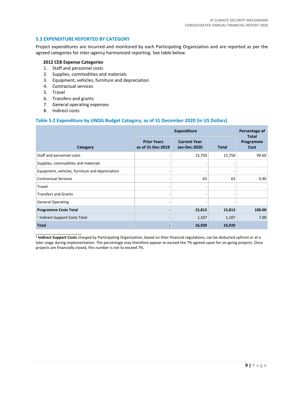# **5.2 EXPENDITURE REPORTED BY CATEGORY**

Project expenditures are incurred and monitored by each Participating Organization and are reported as per the agreed categories for inter-agency harmonized reporting. See table below.

# **2012 CEB Expense Categories**

- 1. Staff and personnel costs
- 2. Supplies, commodities and materials
- 3. Equipment, vehicles, furniture and depreciation
- 4. Contractual services
- 5. Travel
- 6. Transfers and grants
- 7. General operating expenses
- 8. Indirect costs

\_\_\_\_\_\_\_\_\_\_\_\_\_\_\_\_\_\_\_\_\_\_

# **Table 5.2 Expenditure by UNDG Budget Category, as of 31 December 2020 (in US Dollars)**

|                                                 |                                         | Percentage of<br>Total                     |              |                   |
|-------------------------------------------------|-----------------------------------------|--------------------------------------------|--------------|-------------------|
| Category                                        | <b>Prior Years</b><br>as of 31-Dec-2019 | <b>Current Year</b><br><b>Jan-Dec-2020</b> | <b>Total</b> | Programme<br>Cost |
| Staff and personnel costs                       |                                         | 15,750                                     | 15,750       | 99.60             |
| Supplies, commodities and materials             |                                         |                                            |              |                   |
| Equipment, vehicles, furniture and depreciation |                                         |                                            |              |                   |
| <b>Contractual Services</b>                     |                                         | 63                                         | 63           | 0.40              |
| Travel                                          |                                         |                                            | -            |                   |
| <b>Transfers and Grants</b>                     |                                         |                                            |              |                   |
| <b>General Operating</b>                        |                                         |                                            |              |                   |
| <b>Programme Costs Total</b>                    |                                         | 15,813                                     | 15,813       | 100.00            |
| <sup>1</sup> Indirect Support Costs Total       |                                         | 1,107                                      | 1,107        | 7.00              |
| <b>Total</b>                                    |                                         | 16,920                                     | 16,920       |                   |

**1 Indirect Support Costs** charged by Participating Organization, based on their financial regulations, can be deducted upfront or at a later stage during implementation. The percentage may therefore appear to exceed the 7% agreed-upon for on-going projects. Once projects are financially closed, this number is not to exceed 7%.